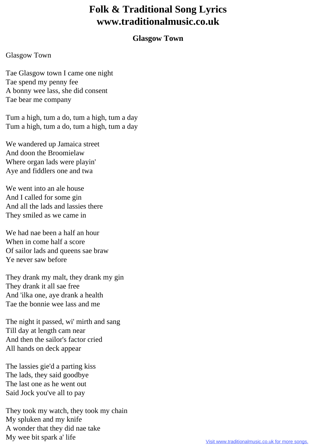## **Folk & Traditional Song Lyrics www.traditionalmusic.co.uk**

## **Glasgow Town**

## Glasgow Town

Tae Glasgow town I came one night Tae spend my penny fee A bonny wee lass, she did consent Tae bear me company

Tum a high, tum a do, tum a high, tum a day Tum a high, tum a do, tum a high, tum a day

We wandered up Jamaica street And doon the Broomielaw Where organ lads were playin' Aye and fiddlers one and twa

We went into an ale house And I called for some gin And all the lads and lassies there They smiled as we came in

We had nae been a half an hour When in come half a score Of sailor lads and queens sae braw Ye never saw before

They drank my malt, they drank my gin They drank it all sae free And 'ilka one, aye drank a health Tae the bonnie wee lass and me

The night it passed, wi' mirth and sang Till day at length cam near And then the sailor's factor cried All hands on deck appear

The lassies gie'd a parting kiss The lads, they said goodbye The last one as he went out Said Jock you've all to pay

They took my watch, they took my chain My spluken and my knife A wonder that they did nae take My wee bit spark a' life